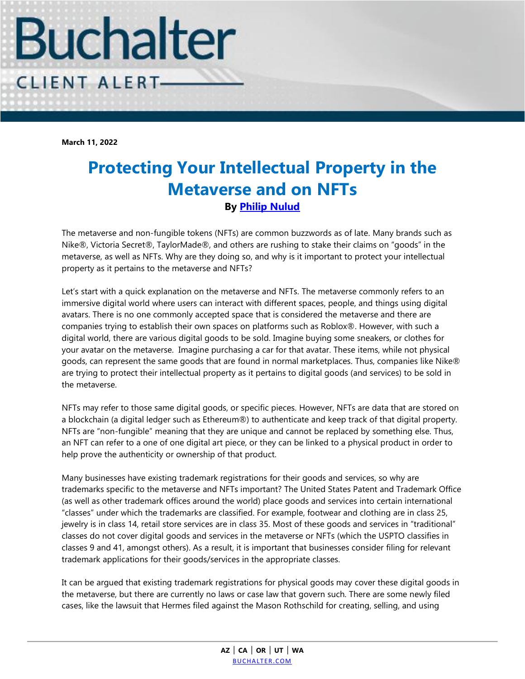

**March 11, 2022**

## **Protecting Your Intellectual Property in the Metaverse and on NFTs By [Philip Nulud](https://www.buchalter.com/attorneys/philip-nulud/#bio)**

The metaverse and non-fungible tokens (NFTs) are common buzzwords as of late. Many brands such as Nike®, Victoria Secret®, TaylorMade®, and others are rushing to stake their claims on "goods" in the metaverse, as well as NFTs. Why are they doing so, and why is it important to protect your intellectual property as it pertains to the metaverse and NFTs?

Let's start with a quick explanation on the metaverse and NFTs. The metaverse commonly refers to an immersive digital world where users can interact with different spaces, people, and things using digital avatars. There is no one commonly accepted space that is considered the metaverse and there are companies trying to establish their own spaces on platforms such as Roblox®. However, with such a digital world, there are various digital goods to be sold. Imagine buying some sneakers, or clothes for your avatar on the metaverse. Imagine purchasing a car for that avatar. These items, while not physical goods, can represent the same goods that are found in normal marketplaces. Thus, companies like Nike® are trying to protect their intellectual property as it pertains to digital goods (and services) to be sold in the metaverse.

NFTs may refer to those same digital goods, or specific pieces. However, NFTs are data that are stored on a blockchain (a digital ledger such as Ethereum®) to authenticate and keep track of that digital property. NFTs are "non-fungible" meaning that they are unique and cannot be replaced by something else. Thus, an NFT can refer to a one of one digital art piece, or they can be linked to a physical product in order to help prove the authenticity or ownership of that product.

Many businesses have existing trademark registrations for their goods and services, so why are trademarks specific to the metaverse and NFTs important? The United States Patent and Trademark Office (as well as other trademark offices around the world) place goods and services into certain international "classes" under which the trademarks are classified. For example, footwear and clothing are in class 25, jewelry is in class 14, retail store services are in class 35. Most of these goods and services in "traditional" classes do not cover digital goods and services in the metaverse or NFTs (which the USPTO classifies in classes 9 and 41, amongst others). As a result, it is important that businesses consider filing for relevant trademark applications for their goods/services in the appropriate classes.

It can be argued that existing trademark registrations for physical goods may cover these digital goods in the metaverse, but there are currently no laws or case law that govern such. There are some newly filed cases, like the lawsuit that Hermes filed against the Mason Rothschild for creating, selling, and using